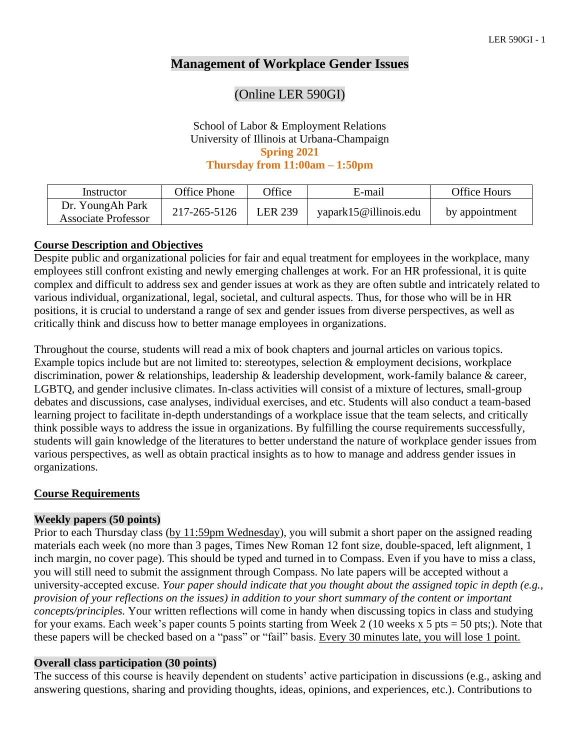## **Management of Workplace Gender Issues**

## (Online LER 590GI)

#### School of Labor & Employment Relations University of Illinois at Urbana-Champaign **Spring 2021 Thursday from 11:00am – 1:50pm**

| Instructor                              | Office Phone | <b>Office</b>  | E-mail                | Office Hours   |
|-----------------------------------------|--------------|----------------|-----------------------|----------------|
| Dr. YoungAh Park<br>Associate Professor | 217-265-5126 | <b>LER 239</b> | yapark15@illinois.edu | by appointment |

## **Course Description and Objectives**

Despite public and organizational policies for fair and equal treatment for employees in the workplace, many employees still confront existing and newly emerging challenges at work. For an HR professional, it is quite complex and difficult to address sex and gender issues at work as they are often subtle and intricately related to various individual, organizational, legal, societal, and cultural aspects. Thus, for those who will be in HR positions, it is crucial to understand a range of sex and gender issues from diverse perspectives, as well as critically think and discuss how to better manage employees in organizations.

Throughout the course, students will read a mix of book chapters and journal articles on various topics. Example topics include but are not limited to: stereotypes, selection & employment decisions, workplace discrimination, power & relationships, leadership & leadership development, work-family balance & career, LGBTQ, and gender inclusive climates. In-class activities will consist of a mixture of lectures, small-group debates and discussions, case analyses, individual exercises, and etc. Students will also conduct a team-based learning project to facilitate in-depth understandings of a workplace issue that the team selects, and critically think possible ways to address the issue in organizations. By fulfilling the course requirements successfully, students will gain knowledge of the literatures to better understand the nature of workplace gender issues from various perspectives, as well as obtain practical insights as to how to manage and address gender issues in organizations.

## **Course Requirements**

#### **Weekly papers (50 points)**

Prior to each Thursday class (by 11:59pm Wednesday), you will submit a short paper on the assigned reading materials each week (no more than 3 pages, Times New Roman 12 font size, double-spaced, left alignment, 1 inch margin, no cover page). This should be typed and turned in to Compass. Even if you have to miss a class, you will still need to submit the assignment through Compass. No late papers will be accepted without a university-accepted excuse. *Your paper should indicate that you thought about the assigned topic in depth (e.g., provision of your reflections on the issues) in addition to your short summary of the content or important concepts/principles.* Your written reflections will come in handy when discussing topics in class and studying for your exams. Each week's paper counts 5 points starting from Week 2 (10 weeks x 5 pts = 50 pts;). Note that these papers will be checked based on a "pass" or "fail" basis. Every 30 minutes late, you will lose 1 point.

#### **Overall class participation (30 points)**

The success of this course is heavily dependent on students' active participation in discussions (e.g., asking and answering questions, sharing and providing thoughts, ideas, opinions, and experiences, etc.). Contributions to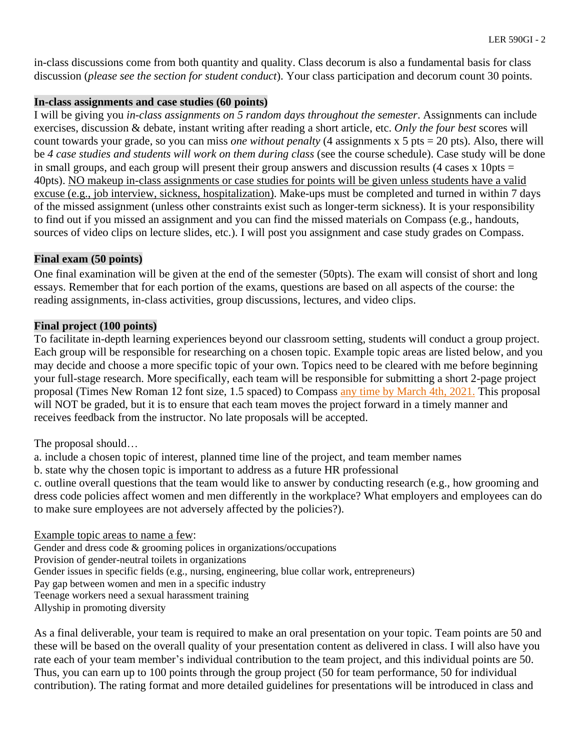in-class discussions come from both quantity and quality. Class decorum is also a fundamental basis for class discussion (*please see the section for student conduct*). Your class participation and decorum count 30 points.

#### **In-class assignments and case studies (60 points)**

I will be giving you *in-class assignments on 5 random days throughout the semester*. Assignments can include exercises, discussion & debate, instant writing after reading a short article, etc. *Only the four best* scores will count towards your grade, so you can miss *one without penalty* (4 assignments x 5 pts = 20 pts). Also, there will be *4 case studies and students will work on them during class* (see the course schedule). Case study will be done in small groups, and each group will present their group answers and discussion results (4 cases x 10pts  $=$ 40pts). NO makeup in-class assignments or case studies for points will be given unless students have a valid excuse (e.g., job interview, sickness, hospitalization). Make-ups must be completed and turned in within 7 days of the missed assignment (unless other constraints exist such as longer-term sickness). It is your responsibility to find out if you missed an assignment and you can find the missed materials on Compass (e.g., handouts, sources of video clips on lecture slides, etc.). I will post you assignment and case study grades on Compass.

### **Final exam (50 points)**

One final examination will be given at the end of the semester (50pts). The exam will consist of short and long essays. Remember that for each portion of the exams, questions are based on all aspects of the course: the reading assignments, in-class activities, group discussions, lectures, and video clips.

## **Final project (100 points)**

To facilitate in-depth learning experiences beyond our classroom setting, students will conduct a group project. Each group will be responsible for researching on a chosen topic. Example topic areas are listed below, and you may decide and choose a more specific topic of your own. Topics need to be cleared with me before beginning your full-stage research. More specifically, each team will be responsible for submitting a short 2-page project proposal (Times New Roman 12 font size, 1.5 spaced) to Compass any time by March 4th, 2021. This proposal will NOT be graded, but it is to ensure that each team moves the project forward in a timely manner and receives feedback from the instructor. No late proposals will be accepted.

The proposal should…

- a. include a chosen topic of interest, planned time line of the project, and team member names
- b. state why the chosen topic is important to address as a future HR professional

c. outline overall questions that the team would like to answer by conducting research (e.g., how grooming and dress code policies affect women and men differently in the workplace? What employers and employees can do to make sure employees are not adversely affected by the policies?).

#### Example topic areas to name a few:

Gender and dress code & grooming polices in organizations/occupations Provision of gender-neutral toilets in organizations Gender issues in specific fields (e.g., nursing, engineering, blue collar work, entrepreneurs) Pay gap between women and men in a specific industry Teenage workers need a sexual harassment training Allyship in promoting diversity

As a final deliverable, your team is required to make an oral presentation on your topic. Team points are 50 and these will be based on the overall quality of your presentation content as delivered in class. I will also have you rate each of your team member's individual contribution to the team project, and this individual points are 50. Thus, you can earn up to 100 points through the group project (50 for team performance, 50 for individual contribution). The rating format and more detailed guidelines for presentations will be introduced in class and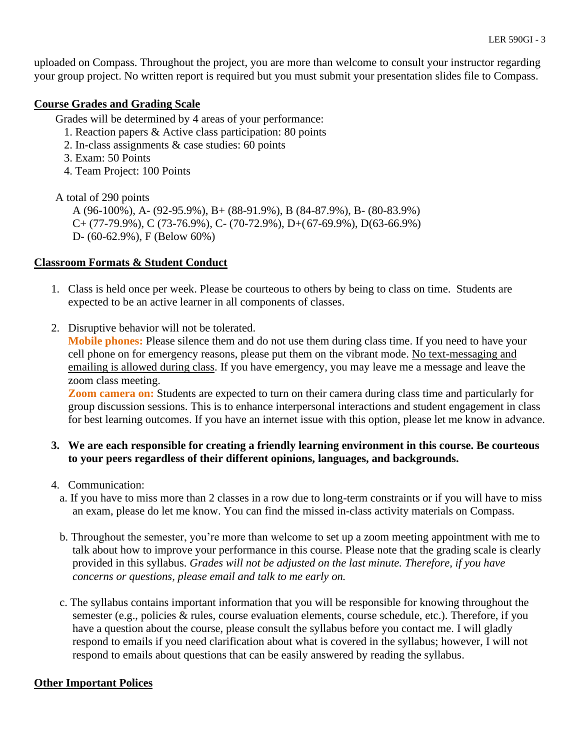uploaded on Compass. Throughout the project, you are more than welcome to consult your instructor regarding your group project. No written report is required but you must submit your presentation slides file to Compass.

### **Course Grades and Grading Scale**

Grades will be determined by 4 areas of your performance:

- 1. Reaction papers & Active class participation: 80 points
- 2. In-class assignments & case studies: 60 points
- 3. Exam: 50 Points
- 4. Team Project: 100 Points

A total of 290 points

A (96-100%), A- (92-95.9%), B+ (88-91.9%), B (84-87.9%), B- (80-83.9%)  $C+(77-79.9\%)$ , C (73-76.9%), C- (70-72.9%), D+(67-69.9%), D(63-66.9%) D- (60-62.9%), F (Below 60%)

### **Classroom Formats & Student Conduct**

- 1. Class is held once per week. Please be courteous to others by being to class on time. Students are expected to be an active learner in all components of classes.
- 2. Disruptive behavior will not be tolerated.

**Mobile phones:** Please silence them and do not use them during class time. If you need to have your cell phone on for emergency reasons, please put them on the vibrant mode. No text-messaging and emailing is allowed during class. If you have emergency, you may leave me a message and leave the zoom class meeting.

**Zoom camera on:** Students are expected to turn on their camera during class time and particularly for group discussion sessions. This is to enhance interpersonal interactions and student engagement in class for best learning outcomes. If you have an internet issue with this option, please let me know in advance.

### **3. We are each responsible for creating a friendly learning environment in this course. Be courteous to your peers regardless of their different opinions, languages, and backgrounds.**

- 4. Communication:
	- a. If you have to miss more than 2 classes in a row due to long-term constraints or if you will have to miss an exam, please do let me know. You can find the missed in-class activity materials on Compass.
	- b. Throughout the semester, you're more than welcome to set up a zoom meeting appointment with me to talk about how to improve your performance in this course. Please note that the grading scale is clearly provided in this syllabus. *Grades will not be adjusted on the last minute. Therefore, if you have concerns or questions, please email and talk to me early on.*
	- c. The syllabus contains important information that you will be responsible for knowing throughout the semester (e.g., policies & rules, course evaluation elements, course schedule, etc.). Therefore, if you have a question about the course, please consult the syllabus before you contact me. I will gladly respond to emails if you need clarification about what is covered in the syllabus; however, I will not respond to emails about questions that can be easily answered by reading the syllabus.

#### **Other Important Polices**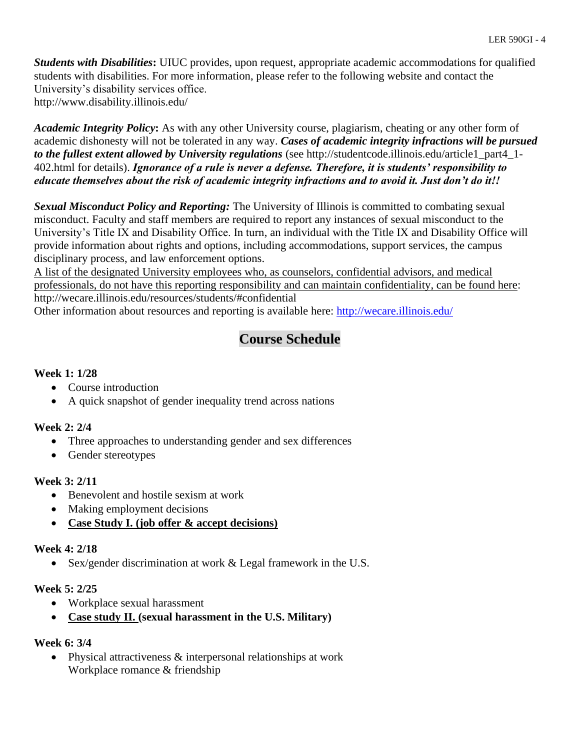*Students with Disabilities***:** UIUC provides, upon request, appropriate academic accommodations for qualified students with disabilities. For more information, please refer to the following website and contact the University's disability services office. http://www.disability.illinois.edu/

*Academic Integrity Policy***:** As with any other University course, plagiarism, cheating or any other form of academic dishonesty will not be tolerated in any way. *Cases of academic integrity infractions will be pursued to the fullest extent allowed by University regulations* (see http://studentcode.illinois.edu/article1\_part4\_1- 402.html for details). *Ignorance of a rule is never a defense. Therefore, it is students' responsibility to educate themselves about the risk of academic integrity infractions and to avoid it. Just don't do it!!*

*Sexual Misconduct Policy and Reporting:* The University of Illinois is committed to combating sexual misconduct. Faculty and staff members are required to report any instances of sexual misconduct to the University's Title IX and Disability Office. In turn, an individual with the Title IX and Disability Office will provide information about rights and options, including accommodations, support services, the campus disciplinary process, and law enforcement options.

A list of the designated University employees who, as counselors, confidential advisors, and medical professionals, do not have this reporting responsibility and can maintain confidentiality, can be found here: http://wecare.illinois.edu/resources/students/#confidential Other information about resources and reporting is available here:<http://wecare.illinois.edu/>

# **Course Schedule**

## **Week 1: 1/28**

- Course introduction
- A quick snapshot of gender inequality trend across nations

## **Week 2: 2/4**

- Three approaches to understanding gender and sex differences
- Gender stereotypes

## **Week 3: 2/11**

- Benevolent and hostile sexism at work
- Making employment decisions
- **Case Study I. (job offer & accept decisions)**

## **Week 4: 2/18**

• Sex/gender discrimination at work & Legal framework in the U.S.

## **Week 5: 2/25**

- Workplace sexual harassment
- **Case study II. (sexual harassment in the U.S. Military)**

## **Week 6: 3/4**

• Physical attractiveness  $&$  interpersonal relationships at work Workplace romance & friendship